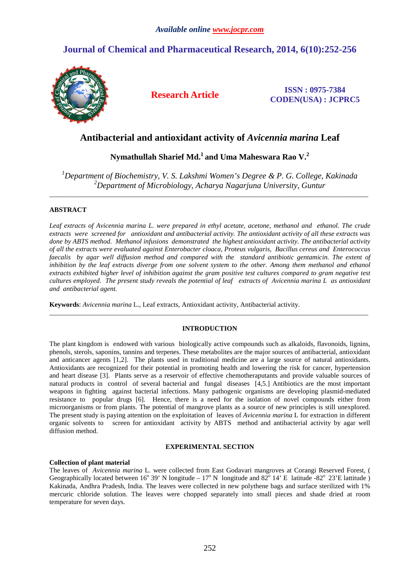# **Journal of Chemical and Pharmaceutical Research, 2014, 6(10):252-256**



**Research Article ISSN : 0975-7384 CODEN(USA) : JCPRC5**

# **Antibacterial and antioxidant activity of** *Avicennia marina* **Leaf**

# **Nymathullah Sharief Md.<sup>1</sup>and Uma Maheswara Rao V.<sup>2</sup>**

*<sup>1</sup>Department of Biochemistry, V. S. Lakshmi Women's Degree & P. G. College, Kakinada <sup>2</sup>Department of Microbiology, Acharya Nagarjuna University, Guntur* 

\_\_\_\_\_\_\_\_\_\_\_\_\_\_\_\_\_\_\_\_\_\_\_\_\_\_\_\_\_\_\_\_\_\_\_\_\_\_\_\_\_\_\_\_\_\_\_\_\_\_\_\_\_\_\_\_\_\_\_\_\_\_\_\_\_\_\_\_\_\_\_\_\_\_\_\_\_\_\_\_\_\_\_\_\_\_\_\_\_\_\_\_\_

## **ABSTRACT**

*Leaf extracts of Avicennia marina L. were prepared in ethyl acetate, acetone, methanol and ethanol. The crude extracts were screened for antioxidant and antibacterial activity. The antioxidant activity of all these extracts was done by ABTS method. Methanol infusions demonstrated the highest antioxidant activity. The antibacterial activity of all the extracts were evaluated against Enterobacter cloaca, Proteus vulgaris, Bacillus cereus and Enterococcus faecalis by agar well diffusion method and compared with the standard antibiotic gentamicin. The extent of*  inhibition by the leaf extracts diverge from one solvent system to the other. Among them methanol and ethanol *extracts exhibited higher level of inhibition against the gram positive test cultures compared to gram negative test cultures employed. The present study reveals the potential of leaf extracts of Avicennia marina L as antioxidant and antibacterial agent.* 

**Keywords**: *Avicennia marina* L., Leaf extracts, Antioxidant activity, Antibacterial activity.

## **INTRODUCTION**

\_\_\_\_\_\_\_\_\_\_\_\_\_\_\_\_\_\_\_\_\_\_\_\_\_\_\_\_\_\_\_\_\_\_\_\_\_\_\_\_\_\_\_\_\_\_\_\_\_\_\_\_\_\_\_\_\_\_\_\_\_\_\_\_\_\_\_\_\_\_\_\_\_\_\_\_\_\_\_\_\_\_\_\_\_\_\_\_\_\_\_\_\_

The plant kingdom is endowed with various biologically active compounds such as alkaloids, flavonoids, lignins, phenols, sterols, saponins, tannins and terpenes. These metabolites are the major sources of antibacterial, antioxidant and anticancer agents [1,2]. The plants used in traditional medicine are a large source of natural antioxidants. Antioxidants are recognized for their potential in promoting health and lowering the risk for cancer, hypertension and heart disease [3]. Plants serve as a reservoir of effective chemotheraputants and provide valuable sources of natural products in control of several bacterial and fungal diseases [4,5.] Antibiotics are the most important weapons in fighting against bacterial infections. Many pathogenic organisms are developing plasmid-mediated resistance to popular drugs [6]. Hence, there is a need for the isolation of novel compounds either from microorganisms or from plants. The potential of mangrove plants as a source of new principles is still unexplored. The present study is paying attention on the exploitation of leaves of *Avicennia marina* L for extraction in different organic solvents to screen for antioxidant activity by ABTS method and antibacterial activity by agar well diffusion method.

## **EXPERIMENTAL SECTION**

## **Collection of plant material**

The leaves of *Avicennia marina* L. were collected from East Godavari mangroves at Corangi Reserved Forest, ( Geographically located between  $16^{\circ}$  39' N longitude –  $17^{\circ}$  N longitude and  $82^{\circ}$  14' E latitude -82 $^{\circ}$  23'E lattitude) Kakinada, Andhra Pradesh, India. The leaves were collected in new polythene bags and surface sterilized with 1% mercuric chloride solution. The leaves were chopped separately into small pieces and shade dried at room temperature for seven days.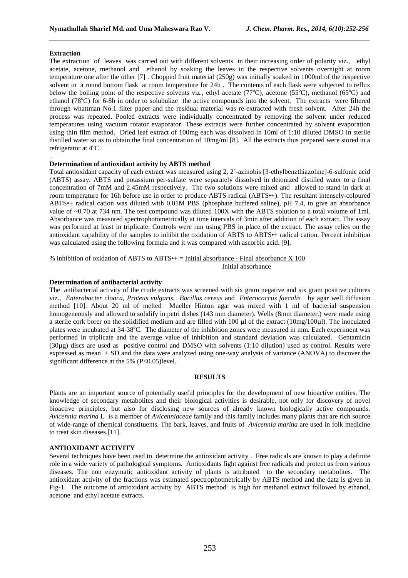#### **Extraction**

.

The extraction of leaves was carried out with different solvents in their increasing order of polarity viz., ethyl acetate, acetone, methanol and ethanol by soaking the leaves in the respective solvents overnight at room temperature one after the other [7] . Chopped fruit material (250g) was initially soaked in 1000ml of the respective solvent in a round bottom flask at room temperature for 24h . The contents of each flask were subjected to reflux below the boiling point of the respective solvents viz., ethyl acetate (77 $^{\circ}$ C), acetone (55 $^{\circ}$ C), methanol (65 $^{\circ}$ C) and ethanol (78 $^{\circ}$ C) for 6-8h in order to solubulize the active compounds into the solvent. The extracts were filtered through whattman No.1 filter paper and the residual material was re-extracted with fresh solvent. After 24h the process was repeated. Pooled extracts were individually concentrated by removing the solvent under reduced temperatures using vacuum rotator evaporator. These extracts were further concentrated by solvent evaporation using thin film method. Dried leaf extract of 100mg each was dissolved in 10ml of 1:10 diluted DMSO in sterile distilled water so as to obtain the final concentration of 10mg/ml [8]. All the extracts thus prepared were stored in a refrigerator at 4<sup>o</sup>C.

*\_\_\_\_\_\_\_\_\_\_\_\_\_\_\_\_\_\_\_\_\_\_\_\_\_\_\_\_\_\_\_\_\_\_\_\_\_\_\_\_\_\_\_\_\_\_\_\_\_\_\_\_\_\_\_\_\_\_\_\_\_\_\_\_\_\_\_\_\_\_\_\_\_\_\_\_\_\_* 

## **Determination of antioxidant activity by ABTS method**

Total antioxidant capacity of each extract was measured using 2, 2´-azinobis [3-ethylbenzthiazoline]-6-sulfonic acid (ABTS) assay. ABTS and potassium per-sulfate were separately dissolved in deionized distilled water to a final concentration of 7mM and 2.45mM respectively. The two solutions were mixed and allowed to stand in dark at room temperature for 16h before use in order to produce ABTS radical (ABTS•+). The resultant intensely-coloured ABTS•+ radical cation was diluted with 0.01M PBS (phosphate buffered saline), pH 7.4, to give an absorbance value of ~0.70 at 734 nm. The test compound was diluted 100X with the ABTS solution to a total volume of 1ml. Absorbance was measured spectrophotometrically at time intervals of 3min after addition of each extract. The assay was performed at least in triplicate. Controls were run using PBS in place of the extract. The assay relies on the antioxidant capability of the samples to inhibit the oxidation of ABTS to ABTS•+ radical cation. Percent inhibition was calculated using the following formula and it was compared with ascorbic acid. [9].

% inhibition of oxidation of ABTS to ABTS $\bullet$ + = Initial absorbance - Final absorbance X 100 Initial absorbance

#### **Determination of antibacterial activity**

The antibacterial activity of the crude extracts was screened with six gram negative and six gram positive cultures viz., *Enterobacter cloaca, Proteus vulgaris, Bacillus cereus* and *Enterococcus faecalis* by agar well diffusion method [10]. About 20 ml of melted Mueller Hinton agar was mixed with 1 ml of bacterial suspension homogeneously and allowed to solidify in petri dishes (143 mm diameter). Wells (8mm diameter.) were made using a sterile cork borer on the solidified medium and are filled with 100 µl of the extract (10mg/100µl). The inoculated plates were incubated at 34-38<sup>o</sup>C. The diameter of the inhibition zones were measured in mm. Each experiment was performed in triplicate and the average value of inhibition and standard deviation was calculated. Gentamicin (30µg) discs are used as positive control and DMSO with solvents (1:10 dilution) used as control. Results were expressed as mean  $\pm$  SD and the data were analyzed using one-way analysis of variance (ANOVA) to discover the significant difference at the 5% (P<0.05)level.

#### **RESULTS**

Plants are an important source of potentially useful principles for the development of new bioactive entities. The knowledge of secondary metabolites and their biological activities is desirable, not only for discovery of novel bioactive principles, but also for disclosing new sources of already known biologically active compounds. *Avicennia marina* L is a member of *Avicenniaceae* family and this family includes many plants that are rich source of wide-range of chemical constituents. The bark, leaves, and fruits of *Avicennia marina* are used in folk medicine to treat skin diseases.[11].

### **ANTIOXIDANT ACTIVITY**

Several techniques have been used to determine the antioxidant activity . Free radicals are known to play a definite role in a wide variety of pathological symptoms. Antioxidants fight against free radicals and protect us from various diseases. The non enzymatic antioxidant activity of plants is attributed to the secondary metabolites. The antioxidant activity of the fractions was estimated spectrophotmetrically by ABTS method and the data is given in Fig-1. The outcome of antioxidant activity by ABTS method is high for methanol extract followed by ethanol, acetone and ethyl acetate extracts.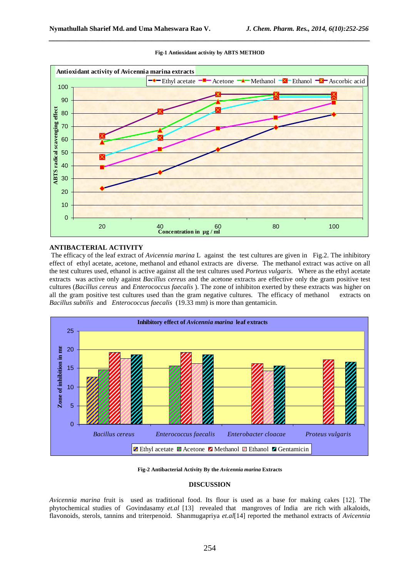

#### **Fig-1 Antioxidant activity by ABTS METHOD**

*\_\_\_\_\_\_\_\_\_\_\_\_\_\_\_\_\_\_\_\_\_\_\_\_\_\_\_\_\_\_\_\_\_\_\_\_\_\_\_\_\_\_\_\_\_\_\_\_\_\_\_\_\_\_\_\_\_\_\_\_\_\_\_\_\_\_\_\_\_\_\_\_\_\_\_\_\_\_* 

#### **ANTIBACTERIAL ACTIVITY**

 The efficacy of the leaf extract of *Avicennia marina* L against the test cultures are given in Fig.2. The inhibitory effect of ethyl acetate, acetone, methanol and ethanol extracts are diverse. The methanol extract was active on all the test cultures used, ethanol is active against all the test cultures used *Porteus vulgaris*. Where as the ethyl acetate extracts was active only against *Bacillus cereus* and the acetone extracts are effective only the gram positive test cultures (*Bacillus cereus* and *Enterococcus faecalis* ). The zone of inhibiton exerted by these extracts was higher on all the gram positive test cultures used than the gram negative cultures. The efficacy of methanol extracts on *Bacillus subtilis* and *Enterococcus faecalis* (19.33 mm) is more than gentamicin.



#### **Fig-2 Antibacterial Activity By the** *Avicennia marina* **Extracts**

## **DISCUSSION**

*Avicennia marina* fruit is used as traditional food. Its flour is used as a base for making cakes [12]. The phytochemical studies of Govindasamy *et.al* [13] revealed that mangroves of India are rich with alkaloids, flavonoids, sterols, tannins and triterpenoid. Shanmugapriya *et.al*[14] reported the methanol extracts of *Avicennia*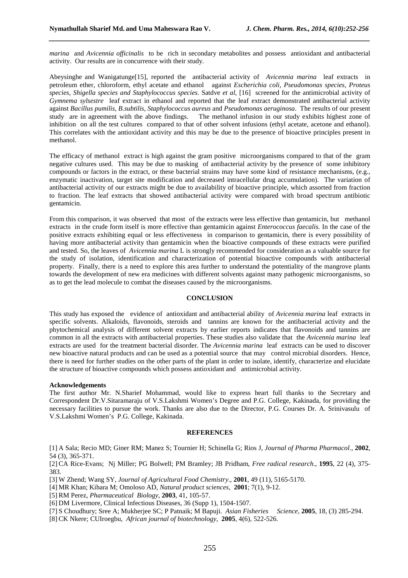*marina* and *Avicennia officinalis* to be rich in secondary metabolites and possess antioxidant and antibacterial activity. Our results are in concurrence with their study.

*\_\_\_\_\_\_\_\_\_\_\_\_\_\_\_\_\_\_\_\_\_\_\_\_\_\_\_\_\_\_\_\_\_\_\_\_\_\_\_\_\_\_\_\_\_\_\_\_\_\_\_\_\_\_\_\_\_\_\_\_\_\_\_\_\_\_\_\_\_\_\_\_\_\_\_\_\_\_* 

Abeysinghe and Wanigatunge[15], reported the antibacterial activity of *Avicennia marina* leaf extracts in petroleum ether, chloroform, ethyl acetate and ethanol against *Escherichia coli*, *Pseudomonas species, Proteus species, Shigella species and Staphylococcus species*. Satdve *et al*, [16] screened for the antimicrobial activity of *Gymnema sylsestre* leaf extract in ethanol and reported that the leaf extract demonstrated antibacterial activity against *Bacillus pumilis, B.subtilis, Staphylococcus aureus* and *Pseudomonas aeruginosa*. The results of our present The methanol infusion in our study exhibits highest zone of inhibition on all the test cultures compared to that of other solvent infusions (ethyl acetate, acetone and ethanol). This correlates with the antioxidant activity and this may be due to the presence of bioactive principles present in methanol.

The efficacy of methanol extract is high against the gram positive microorganisms compared to that of the gram negative cultures used. This may be due to masking of antibacterial activity by the presence of some inhibitory compounds or factors in the extract, or these bacterial strains may have some kind of resistance mechanisms, (e.g., enzymatic inactivation, target site modification and decreased intracellular drug accumulation). The variation of antibacterial activity of our extracts might be due to availability of bioactive principle, which assorted from fraction to fraction. The leaf extracts that showed antibacterial activity were compared with broad spectrum antibiotic gentamicin.

From this comparison, it was observed that most of the extracts were less effective than gentamicin, but methanol extracts in the crude form itself is more effective than gentamicin against *Enterococcus faecalis.* In the case of the positive extracts exhibiting equal or less effectiveness in comparison to gentamicin, there is every possibility of having more antibacterial activity than gentamicin when the bioactive compounds of these extracts were purified and tested. So, the leaves of *Avicennia marina* L is strongly recommended for consideration as a valuable source for the study of isolation, identification and characterization of potential bioactive compounds with antibacterial property. Finally, there is a need to explore this area further to understand the potentiality of the mangrove plants towards the development of new era medicines with different solvents against many pathogenic microorganisms, so as to get the lead molecule to combat the diseases caused by the microorganisms.

### **CONCLUSION**

This study has exposed the evidence of antioxidant and antibacterial ability of *Avicennia marina* leaf extracts in specific solvents. Alkaloids, flavonoids, steroids and tannins are known for the antibacterial activity and the phytochemical analysis of different solvent extracts by earlier reports indicates that flavonoids and tannins are common in all the extracts with antibacterial properties. These studies also validate that the *Avicennia marina* leaf extracts are used for the treatment bacterial disorder. The *Avicennia marina* leaf extracts can be used to discover new bioactive natural products and can be used as a potential source that may control microbial disorders. Hence, there is need for further studies on the other parts of the plant in order to isolate, identify, characterize and elucidate the structure of bioactive compounds which possess antioxidant and antimicrobial activity.

#### **Acknowledgements**

The first author Mr. N.Sharief Mohammad, would like to express heart full thanks to the Secretary and Correspondent Dr.V.Sitaramaraju of V.S.Lakshmi Women's Degree and P.G. College, Kakinada, for providing the necessary facilities to pursue the work. Thanks are also due to the Director, P.G. Courses Dr. A. Srinivasulu of V.S.Lakshmi Women's P.G. College, Kakinada.

### **REFERENCES**

[1] A Sala; Recio MD; Giner RM; Manez S; Tournier H; Schinella G; Rios J, *Journal of Pharma Pharmacol*., **2002**, 54 (3), 365-371.

[2] CA Rice-Evans; Nj Miller; PG Bolwell; PM Bramley; JB Pridham, *Free radical research*., **1995**, 22 (4), 375- 383.

[3] W Zhend; Wang SY, *Journal of Agricultural Food Chemistry*., **2001**, 49 (11), 5165-5170.

[4] MR Khan; Kihara M; Omoloso AD, *Natural product sciences*, **2001**; 7(1), 9-12.

[5] RM Perez, *Pharmaceutical Biology*, **2003**, 41, 105-57.

[6] DM Livermore, Clinical Infectious Diseases, 36 (Supp 1), 1504-1507.

[7] S Choudhury; Sree A; Mukherjee SC; P Patnaik; M Bapuji. *Asian Fisheries Science*, **2005**, 18, (3) 285-294.

[8] CK Nkere; CUIroegbu, *African journal of biotechnology*, **2005**, 4(6), 522-526.